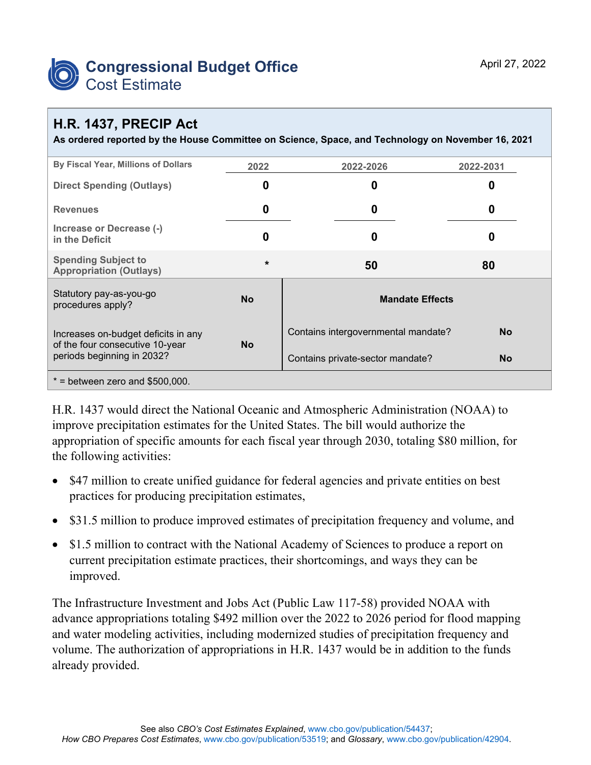

## **H.R. 1437, PRECIP Act**

**As ordered reported by the House Committee on Science, Space, and Technology on November 16, 2021**

| By Fiscal Year, Millions of Dollars                                                                  | 2022      | 2022-2026                                        | 2022-2031 |  |  |  |
|------------------------------------------------------------------------------------------------------|-----------|--------------------------------------------------|-----------|--|--|--|
| <b>Direct Spending (Outlays)</b>                                                                     | 0         | 0                                                | 0         |  |  |  |
| <b>Revenues</b>                                                                                      | 0         | 0                                                | 0         |  |  |  |
| Increase or Decrease (-)<br>in the Deficit                                                           | 0         | 0                                                | 0         |  |  |  |
| <b>Spending Subject to</b><br><b>Appropriation (Outlays)</b>                                         | $\star$   | 50                                               | 80        |  |  |  |
| Statutory pay-as-you-go<br>procedures apply?                                                         | <b>No</b> | <b>Mandate Effects</b>                           |           |  |  |  |
| Increases on-budget deficits in any<br>of the four consecutive 10-year<br>periods beginning in 2032? | <b>No</b> | Contains intergovernmental mandate?<br><b>No</b> |           |  |  |  |
|                                                                                                      |           | Contains private-sector mandate?                 | <b>No</b> |  |  |  |
| $*$ = between zero and \$500,000.                                                                    |           |                                                  |           |  |  |  |

H.R. 1437 would direct the National Oceanic and Atmospheric Administration (NOAA) to improve precipitation estimates for the United States. The bill would authorize the appropriation of specific amounts for each fiscal year through 2030, totaling \$80 million, for the following activities:

- \$47 million to create unified guidance for federal agencies and private entities on best practices for producing precipitation estimates,
- \$31.5 million to produce improved estimates of precipitation frequency and volume, and
- \$1.5 million to contract with the National Academy of Sciences to produce a report on current precipitation estimate practices, their shortcomings, and ways they can be improved.

The Infrastructure Investment and Jobs Act (Public Law 117-58) provided NOAA with advance appropriations totaling \$492 million over the 2022 to 2026 period for flood mapping and water modeling activities, including modernized studies of precipitation frequency and volume. The authorization of appropriations in H.R. 1437 would be in addition to the funds already provided.